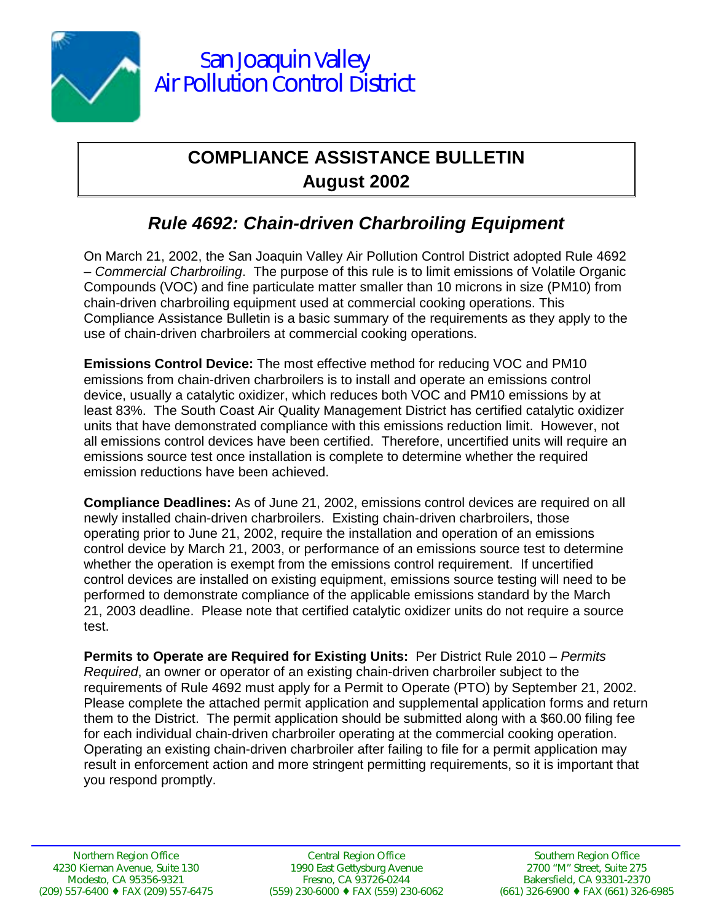

## **COMPLIANCE ASSISTANCE BULLETIN August 2002**

## *Rule 4692: Chain-driven Charbroiling Equipment*

On March 21, 2002, the San Joaquin Valley Air Pollution Control District adopted Rule 4692 – *Commercial Charbroiling*. The purpose of this rule is to limit emissions of Volatile Organic Compounds (VOC) and fine particulate matter smaller than 10 microns in size (PM10) from chain-driven charbroiling equipment used at commercial cooking operations. This Compliance Assistance Bulletin is a basic summary of the requirements as they apply to the use of chain-driven charbroilers at commercial cooking operations.

**Emissions Control Device:** The most effective method for reducing VOC and PM10 emissions from chain-driven charbroilers is to install and operate an emissions control device, usually a catalytic oxidizer, which reduces both VOC and PM10 emissions by at least 83%. The South Coast Air Quality Management District has certified catalytic oxidizer units that have demonstrated compliance with this emissions reduction limit. However, not all emissions control devices have been certified. Therefore, uncertified units will require an emissions source test once installation is complete to determine whether the required emission reductions have been achieved.

**Compliance Deadlines:** As of June 21, 2002, emissions control devices are required on all newly installed chain-driven charbroilers. Existing chain-driven charbroilers, those operating prior to June 21, 2002, require the installation and operation of an emissions control device by March 21, 2003, or performance of an emissions source test to determine whether the operation is exempt from the emissions control requirement. If uncertified control devices are installed on existing equipment, emissions source testing will need to be performed to demonstrate compliance of the applicable emissions standard by the March 21, 2003 deadline. Please note that certified catalytic oxidizer units do not require a source test.

**Permits to Operate are Required for Existing Units:** Per District Rule 2010 *– Permits Required*, an owner or operator of an existing chain-driven charbroiler subject to the requirements of Rule 4692 must apply for a Permit to Operate (PTO) by September 21, 2002. Please complete the attached permit application and supplemental application forms and return them to the District. The permit application should be submitted along with a \$60.00 filing fee for each individual chain-driven charbroiler operating at the commercial cooking operation. Operating an existing chain-driven charbroiler after failing to file for a permit application may result in enforcement action and more stringent permitting requirements, so it is important that you respond promptly.

Central Region Office 1990 East Gettysburg Avenue Fresno, CA 93726-0244 (559) 230-6000 ♦ FAX (559) 230-6062